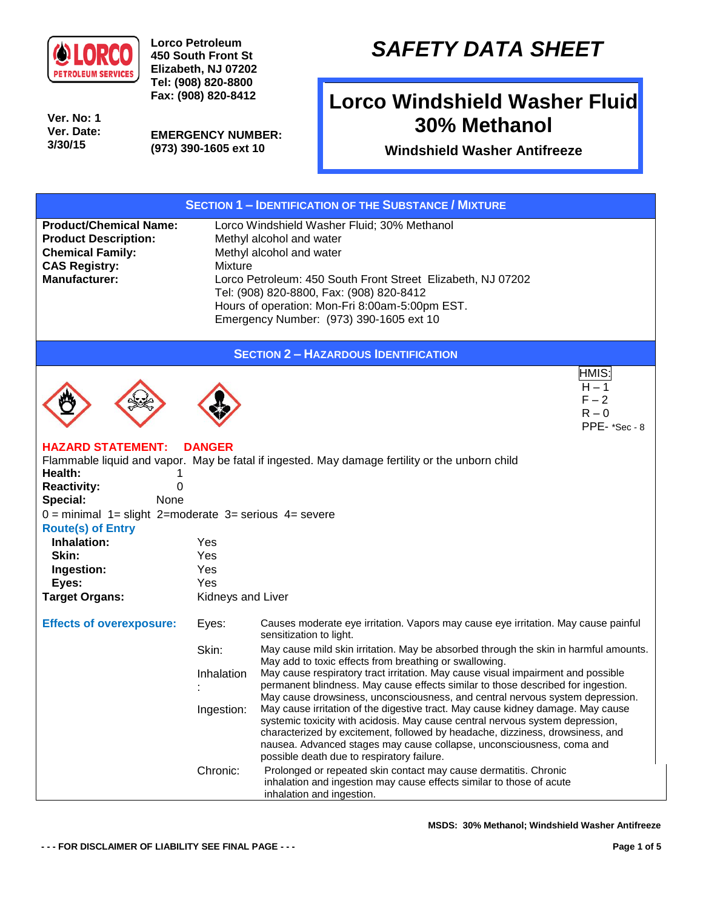

**Lorco Petroleum 450 South Front St Elizabeth, NJ 07202 Tel: (908) 820-8800 Fax: (908) 820-8412**

**Ver. No: 1 Ver. Date: 3/30/15**

**EMERGENCY NUMBER: (973) 390-1605 ext 10**

## *SAFETY DATA SHEET*

## **Lorco Windshield Washer Fluid 30% Methanol**

**Windshield Washer Antifreeze**

| <b>SECTION 1 - IDENTIFICATION OF THE SUBSTANCE / MIXTURE</b>                                                                            |                                                                                                                                                                                                                                                                                                                               |                                                                                                                                                                                                                                                                                                                                                                          |  |  |  |
|-----------------------------------------------------------------------------------------------------------------------------------------|-------------------------------------------------------------------------------------------------------------------------------------------------------------------------------------------------------------------------------------------------------------------------------------------------------------------------------|--------------------------------------------------------------------------------------------------------------------------------------------------------------------------------------------------------------------------------------------------------------------------------------------------------------------------------------------------------------------------|--|--|--|
| <b>Product/Chemical Name:</b><br><b>Product Description:</b><br><b>Chemical Family:</b><br><b>CAS Registry:</b><br><b>Manufacturer:</b> | Lorco Windshield Washer Fluid; 30% Methanol<br>Methyl alcohol and water<br>Methyl alcohol and water<br><b>Mixture</b><br>Lorco Petroleum: 450 South Front Street Elizabeth, NJ 07202<br>Tel: (908) 820-8800, Fax: (908) 820-8412<br>Hours of operation: Mon-Fri 8:00am-5:00pm EST.<br>Emergency Number: (973) 390-1605 ext 10 |                                                                                                                                                                                                                                                                                                                                                                          |  |  |  |
| <b>SECTION 2 - HAZARDOUS IDENTIFICATION</b>                                                                                             |                                                                                                                                                                                                                                                                                                                               |                                                                                                                                                                                                                                                                                                                                                                          |  |  |  |
|                                                                                                                                         |                                                                                                                                                                                                                                                                                                                               | HMIS:<br>$H - 1$<br>$F - 2$<br>$R - 0$<br>PPE-*Sec-8                                                                                                                                                                                                                                                                                                                     |  |  |  |
| <b>HAZARD STATEMENT:</b><br>Health:<br><b>Reactivity:</b><br>0<br>Special:<br>None                                                      | <b>DANGER</b>                                                                                                                                                                                                                                                                                                                 | Flammable liquid and vapor. May be fatal if ingested. May damage fertility or the unborn child                                                                                                                                                                                                                                                                           |  |  |  |
| $0 =$ minimal $1 =$ slight 2=moderate 3= serious 4= severe                                                                              |                                                                                                                                                                                                                                                                                                                               |                                                                                                                                                                                                                                                                                                                                                                          |  |  |  |
| <b>Route(s) of Entry</b><br>Inhalation:                                                                                                 | Yes                                                                                                                                                                                                                                                                                                                           |                                                                                                                                                                                                                                                                                                                                                                          |  |  |  |
| Skin:                                                                                                                                   | Yes                                                                                                                                                                                                                                                                                                                           |                                                                                                                                                                                                                                                                                                                                                                          |  |  |  |
| Ingestion:                                                                                                                              | Yes                                                                                                                                                                                                                                                                                                                           |                                                                                                                                                                                                                                                                                                                                                                          |  |  |  |
| Eyes:                                                                                                                                   | Yes                                                                                                                                                                                                                                                                                                                           |                                                                                                                                                                                                                                                                                                                                                                          |  |  |  |
| <b>Target Organs:</b>                                                                                                                   | Kidneys and Liver                                                                                                                                                                                                                                                                                                             |                                                                                                                                                                                                                                                                                                                                                                          |  |  |  |
| <b>Effects of overexposure:</b>                                                                                                         | Eyes:                                                                                                                                                                                                                                                                                                                         | Causes moderate eye irritation. Vapors may cause eye irritation. May cause painful<br>sensitization to light.                                                                                                                                                                                                                                                            |  |  |  |
|                                                                                                                                         | Skin:                                                                                                                                                                                                                                                                                                                         | May cause mild skin irritation. May be absorbed through the skin in harmful amounts.<br>May add to toxic effects from breathing or swallowing.                                                                                                                                                                                                                           |  |  |  |
|                                                                                                                                         | Inhalation                                                                                                                                                                                                                                                                                                                    | May cause respiratory tract irritation. May cause visual impairment and possible<br>permanent blindness. May cause effects similar to those described for ingestion.<br>May cause drowsiness, unconsciousness, and central nervous system depression.                                                                                                                    |  |  |  |
|                                                                                                                                         | Ingestion:                                                                                                                                                                                                                                                                                                                    | May cause irritation of the digestive tract. May cause kidney damage. May cause<br>systemic toxicity with acidosis. May cause central nervous system depression,<br>characterized by excitement, followed by headache, dizziness, drowsiness, and<br>nausea. Advanced stages may cause collapse, unconsciousness, coma and<br>possible death due to respiratory failure. |  |  |  |
|                                                                                                                                         | Chronic:                                                                                                                                                                                                                                                                                                                      | Prolonged or repeated skin contact may cause dermatitis. Chronic<br>inhalation and ingestion may cause effects similar to those of acute<br>inhalation and ingestion.                                                                                                                                                                                                    |  |  |  |

**MSDS: 30% Methanol; Windshield Washer Antifreeze**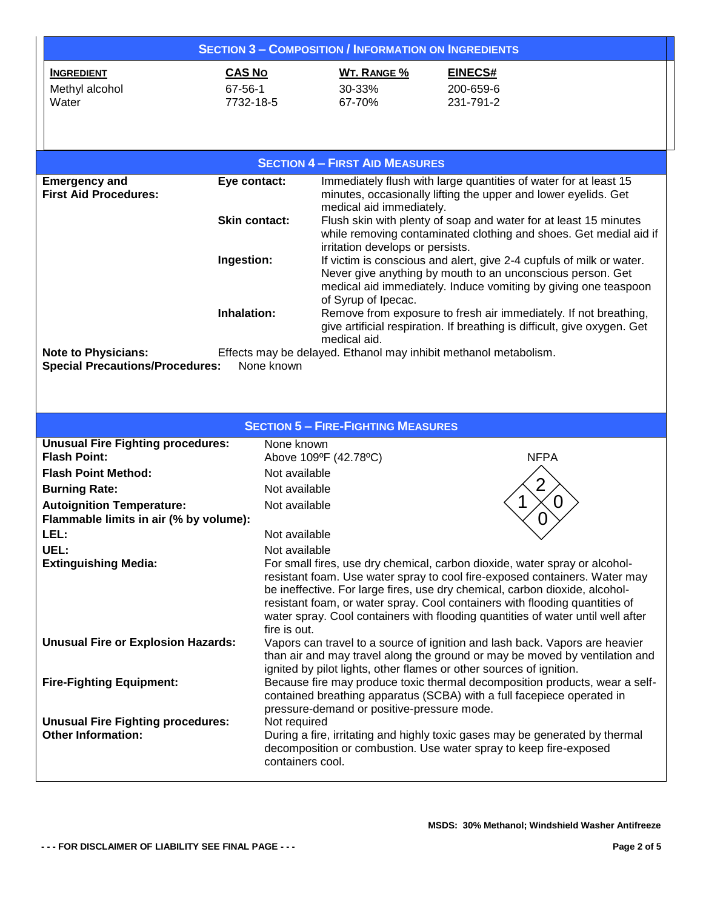| <b>SECTION 3 - COMPOSITION / INFORMATION ON INGREDIENTS</b>                |                      |                                                                                                       |                                                                                                                                                            |  |  |  |
|----------------------------------------------------------------------------|----------------------|-------------------------------------------------------------------------------------------------------|------------------------------------------------------------------------------------------------------------------------------------------------------------|--|--|--|
| <b>CAS No</b><br><b>INGREDIENT</b>                                         |                      | <b>WT. RANGE %</b>                                                                                    | EINECS#                                                                                                                                                    |  |  |  |
| Methyl alcohol<br>67-56-1                                                  |                      | 30-33%                                                                                                | 200-659-6                                                                                                                                                  |  |  |  |
| Water                                                                      | 7732-18-5            | 67-70%                                                                                                | 231-791-2                                                                                                                                                  |  |  |  |
|                                                                            |                      |                                                                                                       |                                                                                                                                                            |  |  |  |
|                                                                            |                      |                                                                                                       |                                                                                                                                                            |  |  |  |
|                                                                            |                      | <b>SECTION 4 - FIRST AID MEASURES</b>                                                                 |                                                                                                                                                            |  |  |  |
|                                                                            |                      |                                                                                                       |                                                                                                                                                            |  |  |  |
| <b>Emergency and</b><br><b>First Aid Procedures:</b>                       | Eye contact:         |                                                                                                       | Immediately flush with large quantities of water for at least 15<br>minutes, occasionally lifting the upper and lower eyelids. Get                         |  |  |  |
|                                                                            |                      | medical aid immediately.                                                                              |                                                                                                                                                            |  |  |  |
|                                                                            | <b>Skin contact:</b> |                                                                                                       | Flush skin with plenty of soap and water for at least 15 minutes                                                                                           |  |  |  |
|                                                                            |                      | while removing contaminated clothing and shoes. Get medial aid if<br>irritation develops or persists. |                                                                                                                                                            |  |  |  |
| Ingestion:                                                                 |                      | If victim is conscious and alert, give 2-4 cupfuls of milk or water.                                  |                                                                                                                                                            |  |  |  |
|                                                                            |                      |                                                                                                       | Never give anything by mouth to an unconscious person. Get                                                                                                 |  |  |  |
|                                                                            |                      |                                                                                                       | medical aid immediately. Induce vomiting by giving one teaspoon                                                                                            |  |  |  |
| Inhalation:                                                                |                      | of Syrup of Ipecac.                                                                                   | Remove from exposure to fresh air immediately. If not breathing,                                                                                           |  |  |  |
|                                                                            |                      |                                                                                                       | give artificial respiration. If breathing is difficult, give oxygen. Get                                                                                   |  |  |  |
|                                                                            |                      | medical aid.                                                                                          |                                                                                                                                                            |  |  |  |
| <b>Note to Physicians:</b><br><b>Special Precautions/Procedures:</b>       | None known           |                                                                                                       | Effects may be delayed. Ethanol may inhibit methanol metabolism.                                                                                           |  |  |  |
|                                                                            |                      |                                                                                                       |                                                                                                                                                            |  |  |  |
|                                                                            |                      |                                                                                                       |                                                                                                                                                            |  |  |  |
|                                                                            |                      |                                                                                                       |                                                                                                                                                            |  |  |  |
|                                                                            |                      | <b>SECTION 5 - FIRE-FIGHTING MEASURES</b>                                                             |                                                                                                                                                            |  |  |  |
| <b>Unusual Fire Fighting procedures:</b>                                   |                      | None known                                                                                            |                                                                                                                                                            |  |  |  |
| <b>Flash Point:</b>                                                        |                      | Above 109°F (42.78°C)                                                                                 | <b>NFPA</b>                                                                                                                                                |  |  |  |
| <b>Flash Point Method:</b>                                                 | Not available        |                                                                                                       |                                                                                                                                                            |  |  |  |
| <b>Burning Rate:</b>                                                       | Not available        |                                                                                                       |                                                                                                                                                            |  |  |  |
| <b>Autoignition Temperature:</b><br>Flammable limits in air (% by volume): | Not available        |                                                                                                       |                                                                                                                                                            |  |  |  |
| LEL:                                                                       | Not available        |                                                                                                       |                                                                                                                                                            |  |  |  |
| UEL:                                                                       | Not available        |                                                                                                       |                                                                                                                                                            |  |  |  |
| <b>Extinguishing Media:</b>                                                |                      |                                                                                                       | For small fires, use dry chemical, carbon dioxide, water spray or alcohol-                                                                                 |  |  |  |
|                                                                            |                      |                                                                                                       | resistant foam. Use water spray to cool fire-exposed containers. Water may                                                                                 |  |  |  |
|                                                                            |                      |                                                                                                       | be ineffective. For large fires, use dry chemical, carbon dioxide, alcohol-<br>resistant foam, or water spray. Cool containers with flooding quantities of |  |  |  |
|                                                                            |                      |                                                                                                       | water spray. Cool containers with flooding quantities of water until well after                                                                            |  |  |  |
|                                                                            | fire is out.         |                                                                                                       |                                                                                                                                                            |  |  |  |
| <b>Unusual Fire or Explosion Hazards:</b>                                  |                      |                                                                                                       | Vapors can travel to a source of ignition and lash back. Vapors are heavier                                                                                |  |  |  |
|                                                                            |                      |                                                                                                       | than air and may travel along the ground or may be moved by ventilation and<br>ignited by pilot lights, other flames or other sources of ignition.         |  |  |  |
| <b>Fire-Fighting Equipment:</b>                                            |                      |                                                                                                       | Because fire may produce toxic thermal decomposition products, wear a self-                                                                                |  |  |  |
|                                                                            |                      |                                                                                                       | contained breathing apparatus (SCBA) with a full facepiece operated in                                                                                     |  |  |  |
| <b>Unusual Fire Fighting procedures:</b>                                   | Not required         | pressure-demand or positive-pressure mode.                                                            |                                                                                                                                                            |  |  |  |
| <b>Other Information:</b>                                                  |                      |                                                                                                       | During a fire, irritating and highly toxic gases may be generated by thermal                                                                               |  |  |  |
|                                                                            |                      |                                                                                                       | decomposition or combustion. Use water spray to keep fire-exposed                                                                                          |  |  |  |
|                                                                            | containers cool.     |                                                                                                       |                                                                                                                                                            |  |  |  |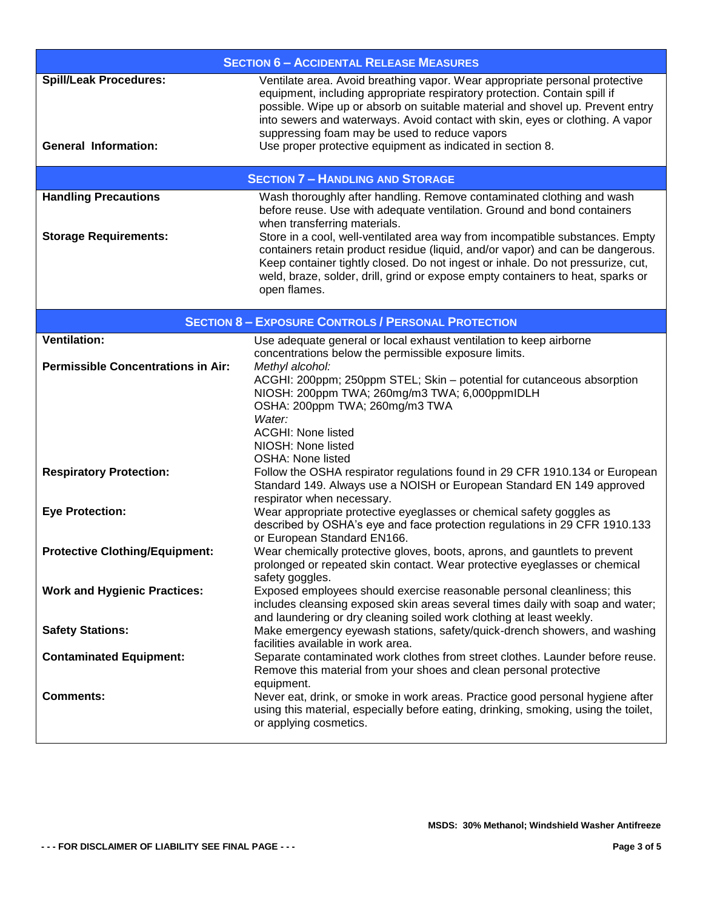| <b>SECTION 6 - ACCIDENTAL RELEASE MEASURES</b>               |                                                                                                                                                                                                                                                                                                                                                                                                                                           |  |  |  |
|--------------------------------------------------------------|-------------------------------------------------------------------------------------------------------------------------------------------------------------------------------------------------------------------------------------------------------------------------------------------------------------------------------------------------------------------------------------------------------------------------------------------|--|--|--|
| <b>Spill/Leak Procedures:</b><br><b>General Information:</b> | Ventilate area. Avoid breathing vapor. Wear appropriate personal protective<br>equipment, including appropriate respiratory protection. Contain spill if<br>possible. Wipe up or absorb on suitable material and shovel up. Prevent entry<br>into sewers and waterways. Avoid contact with skin, eyes or clothing. A vapor<br>suppressing foam may be used to reduce vapors<br>Use proper protective equipment as indicated in section 8. |  |  |  |
| <b>SECTION 7 - HANDLING AND STORAGE</b>                      |                                                                                                                                                                                                                                                                                                                                                                                                                                           |  |  |  |
| <b>Handling Precautions</b><br><b>Storage Requirements:</b>  | Wash thoroughly after handling. Remove contaminated clothing and wash<br>before reuse. Use with adequate ventilation. Ground and bond containers<br>when transferring materials.<br>Store in a cool, well-ventilated area way from incompatible substances. Empty                                                                                                                                                                         |  |  |  |
|                                                              | containers retain product residue (liquid, and/or vapor) and can be dangerous.<br>Keep container tightly closed. Do not ingest or inhale. Do not pressurize, cut,<br>weld, braze, solder, drill, grind or expose empty containers to heat, sparks or<br>open flames.                                                                                                                                                                      |  |  |  |
|                                                              | <b>SECTION 8 - EXPOSURE CONTROLS / PERSONAL PROTECTION</b>                                                                                                                                                                                                                                                                                                                                                                                |  |  |  |
| <b>Ventilation:</b>                                          | Use adequate general or local exhaust ventilation to keep airborne<br>concentrations below the permissible exposure limits.                                                                                                                                                                                                                                                                                                               |  |  |  |
| <b>Permissible Concentrations in Air:</b>                    | Methyl alcohol:<br>ACGHI: 200ppm; 250ppm STEL; Skin - potential for cutanceous absorption<br>NIOSH: 200ppm TWA; 260mg/m3 TWA; 6,000ppmIDLH<br>OSHA: 200ppm TWA; 260mg/m3 TWA<br>Water:<br><b>ACGHI: None listed</b><br>NIOSH: None listed                                                                                                                                                                                                 |  |  |  |
| <b>Respiratory Protection:</b>                               | <b>OSHA: None listed</b><br>Follow the OSHA respirator regulations found in 29 CFR 1910.134 or European<br>Standard 149. Always use a NOISH or European Standard EN 149 approved<br>respirator when necessary.                                                                                                                                                                                                                            |  |  |  |
| <b>Eye Protection:</b>                                       | Wear appropriate protective eyeglasses or chemical safety goggles as<br>described by OSHA's eye and face protection regulations in 29 CFR 1910.133<br>or European Standard EN166.                                                                                                                                                                                                                                                         |  |  |  |
| <b>Protective Clothing/Equipment:</b>                        | Wear chemically protective gloves, boots, aprons, and gauntlets to prevent<br>prolonged or repeated skin contact. Wear protective eyeglasses or chemical<br>safety goggles.                                                                                                                                                                                                                                                               |  |  |  |
| <b>Work and Hygienic Practices:</b>                          | Exposed employees should exercise reasonable personal cleanliness; this<br>includes cleansing exposed skin areas several times daily with soap and water;<br>and laundering or dry cleaning soiled work clothing at least weekly.                                                                                                                                                                                                         |  |  |  |
| <b>Safety Stations:</b>                                      | Make emergency eyewash stations, safety/quick-drench showers, and washing<br>facilities available in work area.                                                                                                                                                                                                                                                                                                                           |  |  |  |
| <b>Contaminated Equipment:</b>                               | Separate contaminated work clothes from street clothes. Launder before reuse.<br>Remove this material from your shoes and clean personal protective<br>equipment.                                                                                                                                                                                                                                                                         |  |  |  |
| <b>Comments:</b>                                             | Never eat, drink, or smoke in work areas. Practice good personal hygiene after<br>using this material, especially before eating, drinking, smoking, using the toilet,<br>or applying cosmetics.                                                                                                                                                                                                                                           |  |  |  |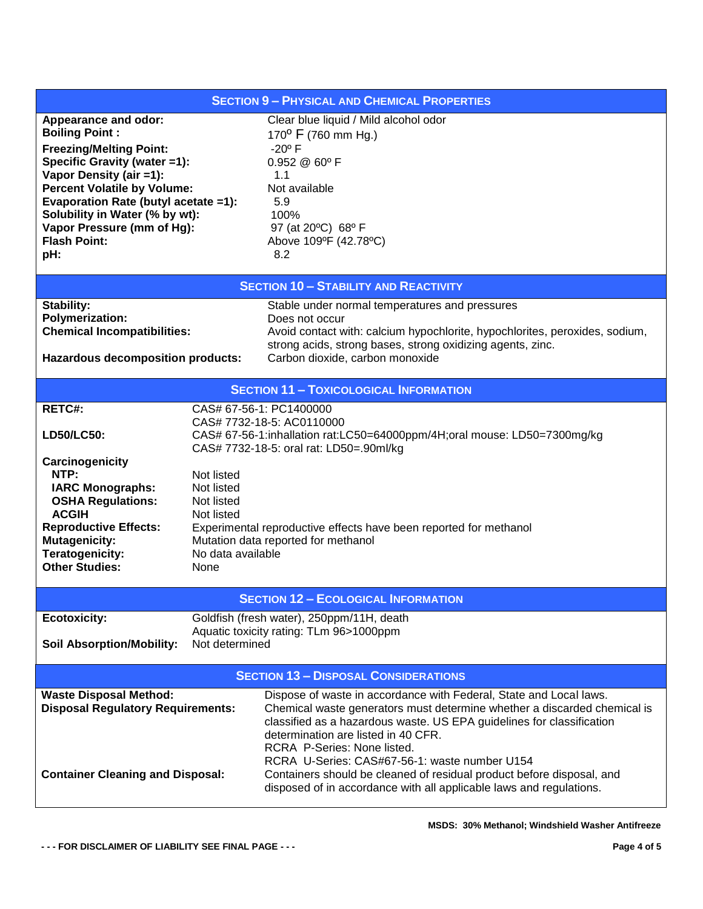## **SECTION 9 – PHYSICAL AND CHEMICAL PROPERTIES Appearance and odor:** Clear blue liquid / Mild alcohol odor **Boiling Point :** 170<sup>0</sup> F (760 mm Hg.) **Freezing/Melting Point:** The Manus of the 120<sup>°</sup> F **Specific Gravity (water =1):** 0.952 @ 60º F **Vapor Density (air =1):** 1.1 **Percent Volatile by Volume:** Not available **Evaporation Rate (butyl acetate =1):** 5.9 **Solubility in Water (% by wt):** 100% **Vapor Pressure (mm of Hg):** 97 (at 20ºC) 68º F **Flash Point: pH:** Above 109ºF (42.78ºC) 8.2 **SECTION 10 – STABILITY AND REACTIVITY Stability: Stable under normal temperatures and pressures Polymerization:** Does not occur **Chemical Incompatibilities:** Avoid contact with: calcium hypochlorite, hypochlorites, peroxides, sodium, strong acids, strong bases, strong oxidizing agents, zinc. **Hazardous decomposition products:** Carbon dioxide, carbon monoxide **SECTION 11 – TOXICOLOGICAL INFORMATION RETC#:** CAS# 67-56-1: PC1400000 CAS# 7732-18-5: AC0110000 **LD50/LC50:** CAS# 67-56-1:inhallation rat:LC50=64000ppm/4H;oral mouse: LD50=7300mg/kg CAS# 7732-18-5: oral rat: LD50=.90ml/kg **Carcinogenicity NTP:** Not listed **IARC Monographs:** Not listed **OSHA Regulations:** Not listed **ACGIH** Not listed **Reproductive Effects:** Experimental reproductive effects have been reported for methanol **Mutagenicity:** Mutation data reported for methanol **Teratogenicity:** No data available **Other Studies:** None **SECTION 12 – ECOLOGICAL INFORMATION Ecotoxicity:** Goldfish (fresh water), 250ppm/11H, death Aquatic toxicity rating: TLm 96>1000ppm **Soil Absorption/Mobility:** Not determined **SECTION 13 – DISPOSAL CONSIDERATIONS** Waste Disposal Method: Dispose of waste in accordance with Federal, State and Local laws. **Disposal Regulatory Requirements:** Chemical waste generators must determine whether a discarded chemical is classified as a hazardous waste. US EPA guidelines for classification determination are listed in 40 CFR. RCRA P-Series: None listed. RCRA U-Series: CAS#67-56-1: waste number U154 **Container Cleaning and Disposal:** Containers should be cleaned of residual product before disposal, and disposed of in accordance with all applicable laws and regulations.